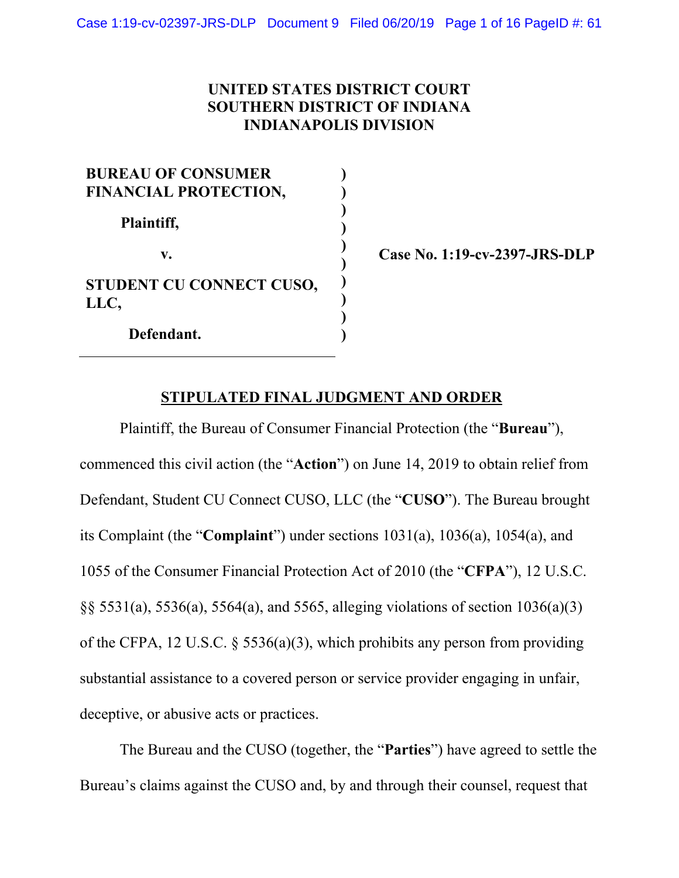# **UNITED STATES DISTRICT COURT SOUTHERN DISTRICT OF INDIANA INDIANAPOLIS DIVISION**

| <b>BUREAU OF CONSUMER</b><br><b>FINANCIAL PROTECTION,</b> |  |
|-----------------------------------------------------------|--|
| Plaintiff,                                                |  |
| V.                                                        |  |
| STUDENT CU CONNECT CUSO,<br>LLC,                          |  |
| Defendant.                                                |  |

**Case No. 1:19-cv-2397-JRS-DLP** 

# **STIPULATED FINAL JUDGMENT AND ORDER**

Plaintiff, the Bureau of Consumer Financial Protection (the "**Bureau**"), commenced this civil action (the "**Action**") on June 14, 2019 to obtain relief from Defendant, Student CU Connect CUSO, LLC (the "**CUSO**"). The Bureau brought its Complaint (the "**Complaint**") under sections 1031(a), 1036(a), 1054(a), and 1055 of the Consumer Financial Protection Act of 2010 (the "**CFPA**"), 12 U.S.C. §§ 5531(a), 5536(a), 5564(a), and 5565, alleging violations of section 1036(a)(3) of the CFPA, 12 U.S.C. § 5536(a)(3), which prohibits any person from providing substantial assistance to a covered person or service provider engaging in unfair, deceptive, or abusive acts or practices.

The Bureau and the CUSO (together, the "**Parties**") have agreed to settle the Bureau's claims against the CUSO and, by and through their counsel, request that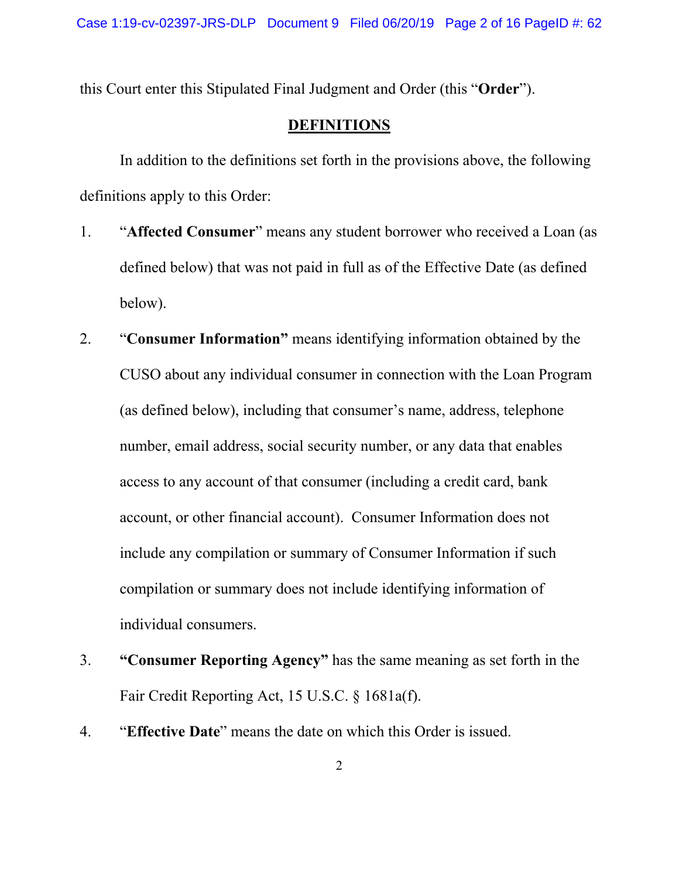this Court enter this Stipulated Final Judgment and Order (this "**Order**").

# **DEFINITIONS**

In addition to the definitions set forth in the provisions above, the following definitions apply to this Order:

- 1. "**Affected Consumer**" means any student borrower who received a Loan (as defined below) that was not paid in full as of the Effective Date (as defined below).
- 2. "**Consumer Information"** means identifying information obtained by the CUSO about any individual consumer in connection with the Loan Program (as defined below), including that consumer's name, address, telephone number, email address, social security number, or any data that enables access to any account of that consumer (including a credit card, bank account, or other financial account). Consumer Information does not include any compilation or summary of Consumer Information if such compilation or summary does not include identifying information of individual consumers.
- 3. **"Consumer Reporting Agency"** has the same meaning as set forth in the Fair Credit Reporting Act, 15 U.S.C. § 1681a(f).
- 4. "**Effective Date**" means the date on which this Order is issued.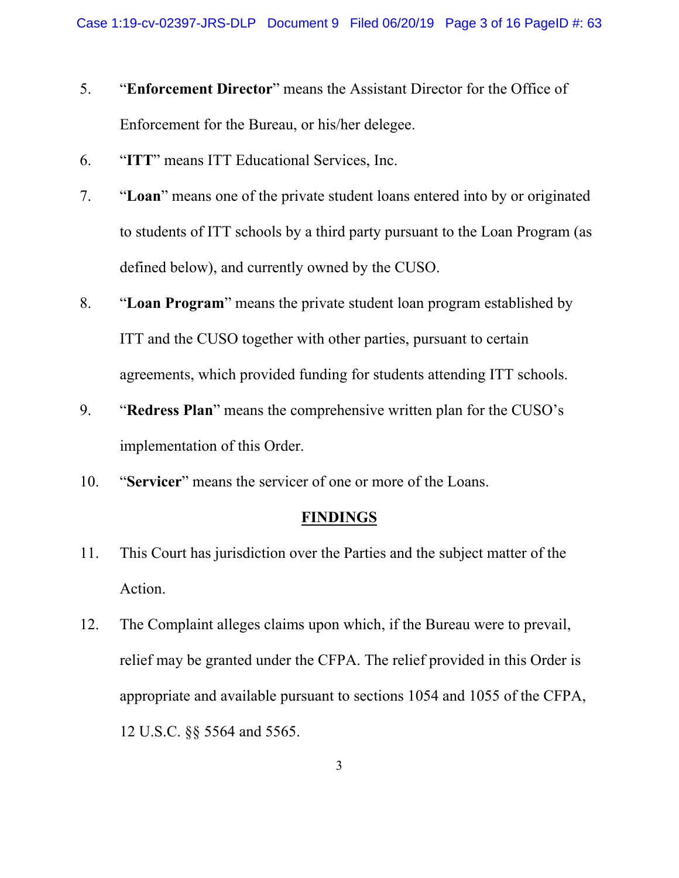- 5. "**Enforcement Director**" means the Assistant Director for the Office of Enforcement for the Bureau, or his/her delegee.
- 6. "**ITT**" means ITT Educational Services, Inc.
- 7. "**Loan**" means one of the private student loans entered into by or originated to students of ITT schools by a third party pursuant to the Loan Program (as defined below), and currently owned by the CUSO.
- 8. "**Loan Program**" means the private student loan program established by ITT and the CUSO together with other parties, pursuant to certain agreements, which provided funding for students attending ITT schools.
- 9. "**Redress Plan**" means the comprehensive written plan for the CUSO's implementation of this Order.
- 10. "**Servicer**" means the servicer of one or more of the Loans.

#### **FINDINGS**

- 11. This Court has jurisdiction over the Parties and the subject matter of the Action.
- 12. The Complaint alleges claims upon which, if the Bureau were to prevail, relief may be granted under the CFPA. The relief provided in this Order is appropriate and available pursuant to sections 1054 and 1055 of the CFPA, 12 U.S.C. §§ 5564 and 5565.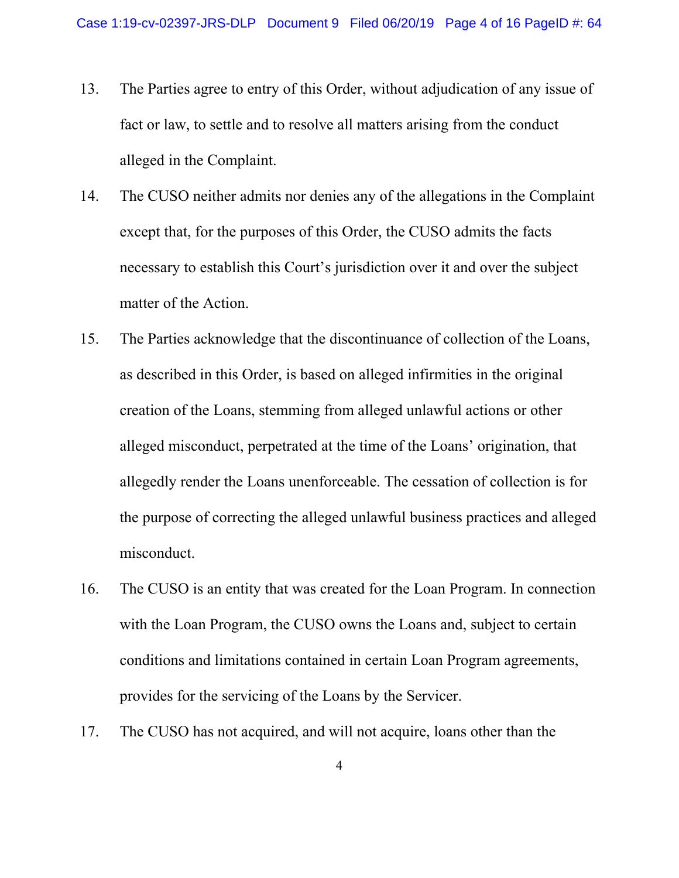- 13. The Parties agree to entry of this Order, without adjudication of any issue of fact or law, to settle and to resolve all matters arising from the conduct alleged in the Complaint.
- 14. The CUSO neither admits nor denies any of the allegations in the Complaint except that, for the purposes of this Order, the CUSO admits the facts necessary to establish this Court's jurisdiction over it and over the subject matter of the Action.
- 15. The Parties acknowledge that the discontinuance of collection of the Loans, as described in this Order, is based on alleged infirmities in the original creation of the Loans, stemming from alleged unlawful actions or other alleged misconduct, perpetrated at the time of the Loans' origination, that allegedly render the Loans unenforceable. The cessation of collection is for the purpose of correcting the alleged unlawful business practices and alleged misconduct.
- 16. The CUSO is an entity that was created for the Loan Program. In connection with the Loan Program, the CUSO owns the Loans and, subject to certain conditions and limitations contained in certain Loan Program agreements, provides for the servicing of the Loans by the Servicer.
- 17. The CUSO has not acquired, and will not acquire, loans other than the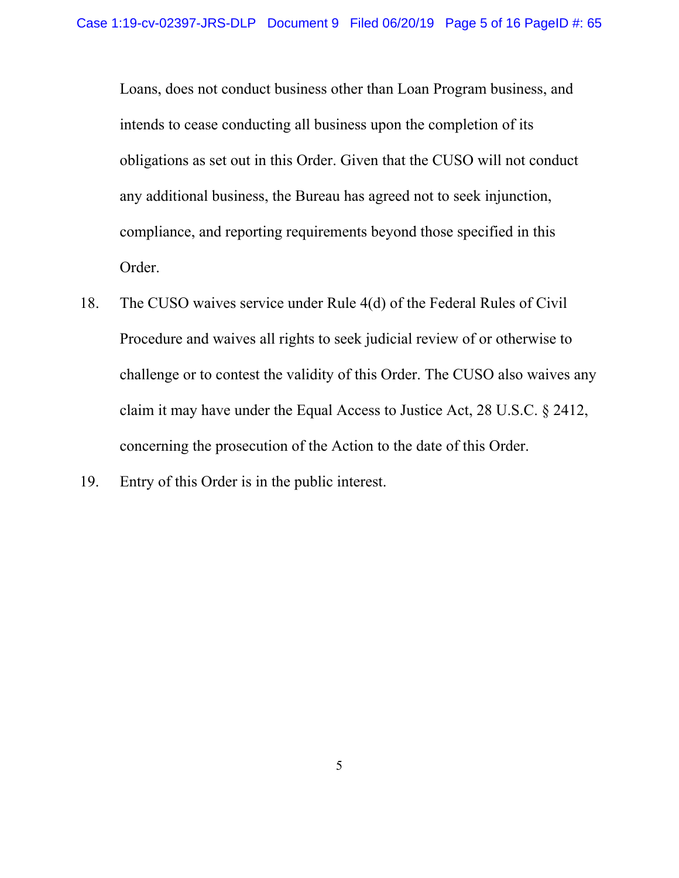Loans, does not conduct business other than Loan Program business, and intends to cease conducting all business upon the completion of its obligations as set out in this Order. Given that the CUSO will not conduct any additional business, the Bureau has agreed not to seek injunction, compliance, and reporting requirements beyond those specified in this Order.

- 18. The CUSO waives service under Rule 4(d) of the Federal Rules of Civil Procedure and waives all rights to seek judicial review of or otherwise to challenge or to contest the validity of this Order. The CUSO also waives any claim it may have under the Equal Access to Justice Act, 28 U.S.C. § 2412, concerning the prosecution of the Action to the date of this Order.
- 19. Entry of this Order is in the public interest.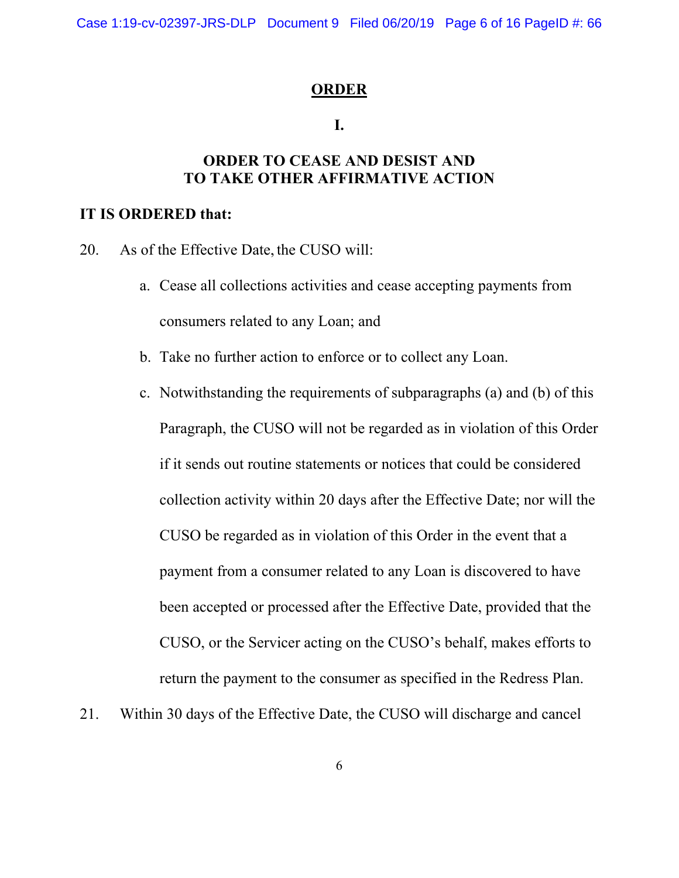#### **ORDER**

#### **I.**

# **ORDER TO CEASE AND DESIST AND TO TAKE OTHER AFFIRMATIVE ACTION**

#### **IT IS ORDERED that:**

20. As of the Effective Date, the CUSO will:

- a. Cease all collections activities and cease accepting payments from consumers related to any Loan; and
- b. Take no further action to enforce or to collect any Loan.
- c. Notwithstanding the requirements of subparagraphs (a) and (b) of this Paragraph, the CUSO will not be regarded as in violation of this Order if it sends out routine statements or notices that could be considered collection activity within 20 days after the Effective Date; nor will the CUSO be regarded as in violation of this Order in the event that a payment from a consumer related to any Loan is discovered to have been accepted or processed after the Effective Date, provided that the CUSO, or the Servicer acting on the CUSO's behalf, makes efforts to return the payment to the consumer as specified in the Redress Plan.
- 21. Within 30 days of the Effective Date, the CUSO will discharge and cancel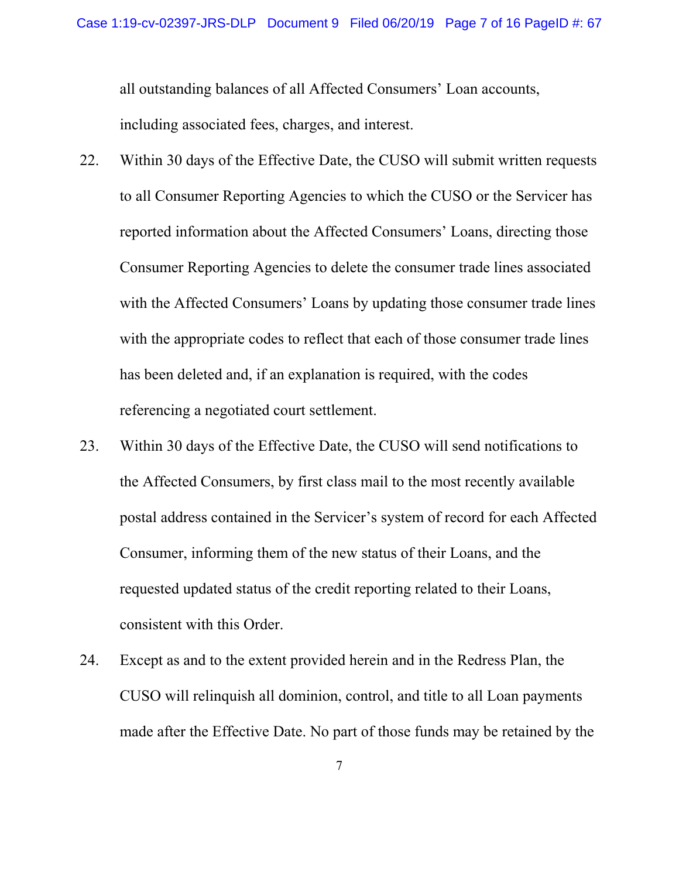all outstanding balances of all Affected Consumers' Loan accounts, including associated fees, charges, and interest.

- 22. Within 30 days of the Effective Date, the CUSO will submit written requests to all Consumer Reporting Agencies to which the CUSO or the Servicer has reported information about the Affected Consumers' Loans, directing those Consumer Reporting Agencies to delete the consumer trade lines associated with the Affected Consumers' Loans by updating those consumer trade lines with the appropriate codes to reflect that each of those consumer trade lines has been deleted and, if an explanation is required, with the codes referencing a negotiated court settlement.
- 23. Within 30 days of the Effective Date, the CUSO will send notifications to the Affected Consumers, by first class mail to the most recently available postal address contained in the Servicer's system of record for each Affected Consumer, informing them of the new status of their Loans, and the requested updated status of the credit reporting related to their Loans, consistent with this Order.
- 24. Except as and to the extent provided herein and in the Redress Plan, the CUSO will relinquish all dominion, control, and title to all Loan payments made after the Effective Date. No part of those funds may be retained by the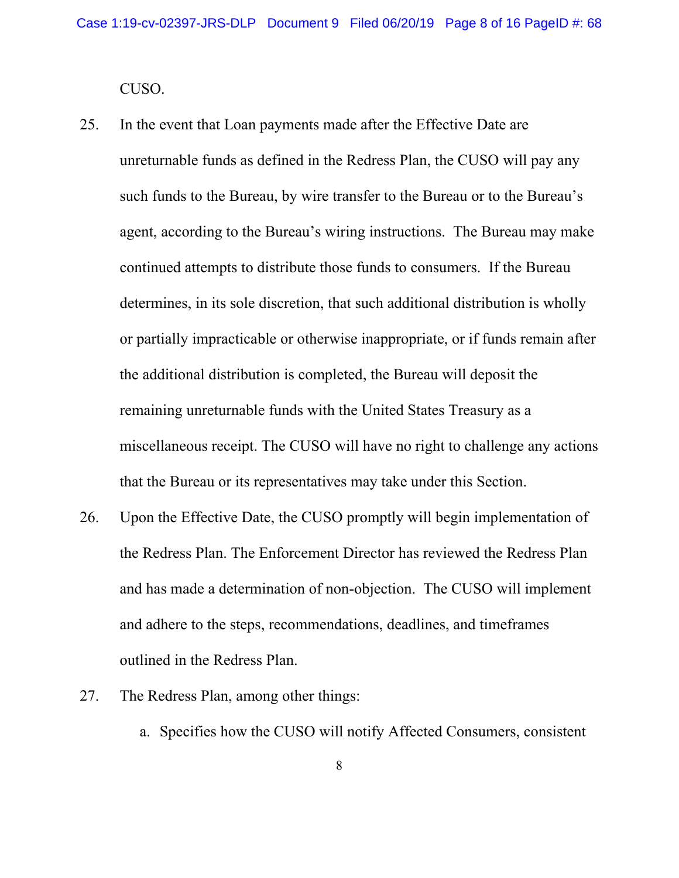CUSO.

- 25. In the event that Loan payments made after the Effective Date are unreturnable funds as defined in the Redress Plan, the CUSO will pay any such funds to the Bureau, by wire transfer to the Bureau or to the Bureau's agent, according to the Bureau's wiring instructions. The Bureau may make continued attempts to distribute those funds to consumers. If the Bureau determines, in its sole discretion, that such additional distribution is wholly or partially impracticable or otherwise inappropriate, or if funds remain after the additional distribution is completed, the Bureau will deposit the remaining unreturnable funds with the United States Treasury as a miscellaneous receipt. The CUSO will have no right to challenge any actions that the Bureau or its representatives may take under this Section.
- 26. Upon the Effective Date, the CUSO promptly will begin implementation of the Redress Plan. The Enforcement Director has reviewed the Redress Plan and has made a determination of non-objection. The CUSO will implement and adhere to the steps, recommendations, deadlines, and timeframes outlined in the Redress Plan.
- 27. The Redress Plan, among other things:
	- a. Specifies how the CUSO will notify Affected Consumers, consistent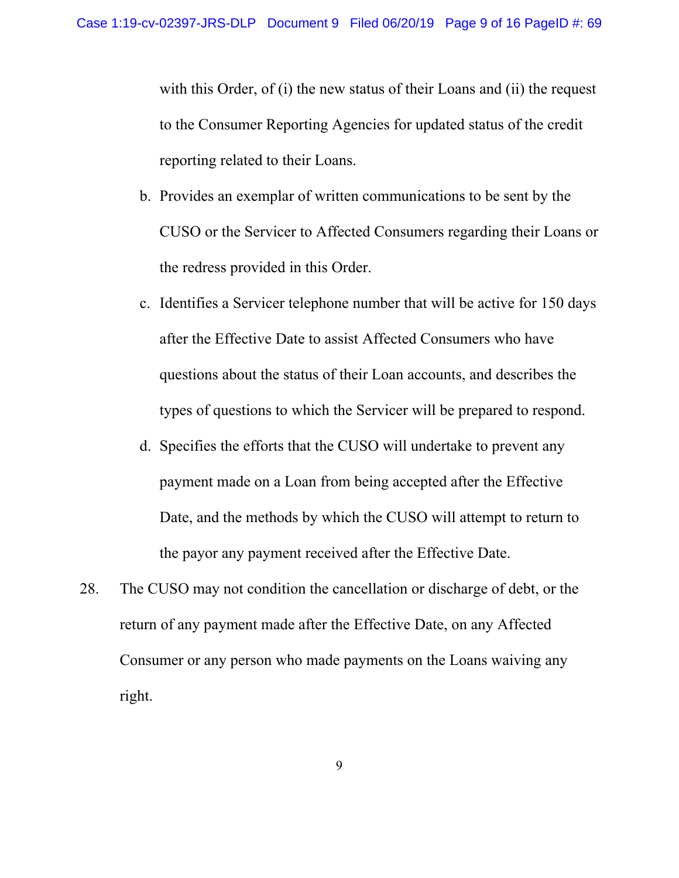with this Order, of (i) the new status of their Loans and (ii) the request to the Consumer Reporting Agencies for updated status of the credit reporting related to their Loans.

- b. Provides an exemplar of written communications to be sent by the CUSO or the Servicer to Affected Consumers regarding their Loans or the redress provided in this Order.
- c. Identifies a Servicer telephone number that will be active for 150 days after the Effective Date to assist Affected Consumers who have questions about the status of their Loan accounts, and describes the types of questions to which the Servicer will be prepared to respond.
- d. Specifies the efforts that the CUSO will undertake to prevent any payment made on a Loan from being accepted after the Effective Date, and the methods by which the CUSO will attempt to return to the payor any payment received after the Effective Date.
- 28. The CUSO may not condition the cancellation or discharge of debt, or the return of any payment made after the Effective Date, on any Affected Consumer or any person who made payments on the Loans waiving any right.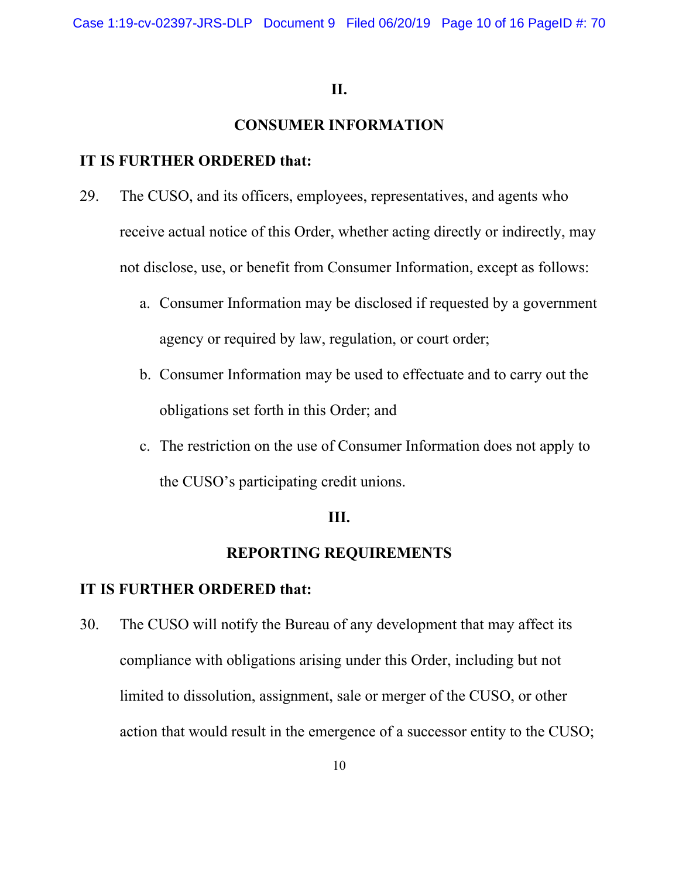#### **II.**

## **CONSUMER INFORMATION**

# **IT IS FURTHER ORDERED that:**

- 29. The CUSO, and its officers, employees, representatives, and agents who receive actual notice of this Order, whether acting directly or indirectly, may not disclose, use, or benefit from Consumer Information, except as follows:
	- a. Consumer Information may be disclosed if requested by a government agency or required by law, regulation, or court order;
	- b. Consumer Information may be used to effectuate and to carry out the obligations set forth in this Order; and
	- c. The restriction on the use of Consumer Information does not apply to the CUSO's participating credit unions.

## **III.**

# **REPORTING REQUIREMENTS**

#### **IT IS FURTHER ORDERED that:**

30. The CUSO will notify the Bureau of any development that may affect its compliance with obligations arising under this Order, including but not limited to dissolution, assignment, sale or merger of the CUSO, or other action that would result in the emergence of a successor entity to the CUSO;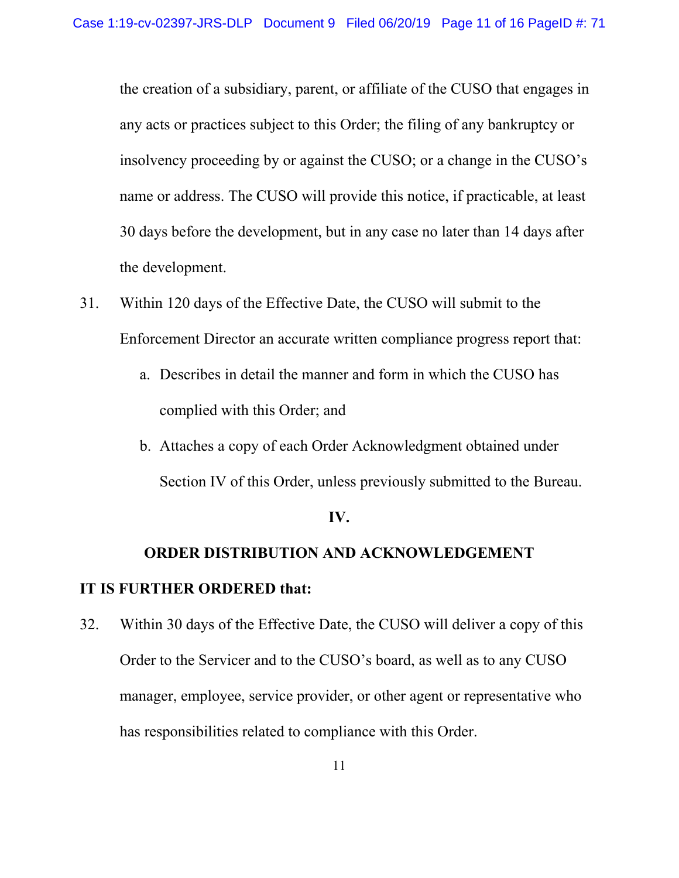the creation of a subsidiary, parent, or affiliate of the CUSO that engages in any acts or practices subject to this Order; the filing of any bankruptcy or insolvency proceeding by or against the CUSO; or a change in the CUSO's name or address. The CUSO will provide this notice, if practicable, at least 30 days before the development, but in any case no later than 14 days after the development.

- 31. Within 120 days of the Effective Date, the CUSO will submit to the Enforcement Director an accurate written compliance progress report that:
	- a. Describes in detail the manner and form in which the CUSO has complied with this Order; and
	- b. Attaches a copy of each Order Acknowledgment obtained under Section IV of this Order, unless previously submitted to the Bureau.

#### **IV.**

# **ORDER DISTRIBUTION AND ACKNOWLEDGEMENT IT IS FURTHER ORDERED that:**

32. Within 30 days of the Effective Date, the CUSO will deliver a copy of this Order to the Servicer and to the CUSO's board, as well as to any CUSO manager, employee, service provider, or other agent or representative who has responsibilities related to compliance with this Order.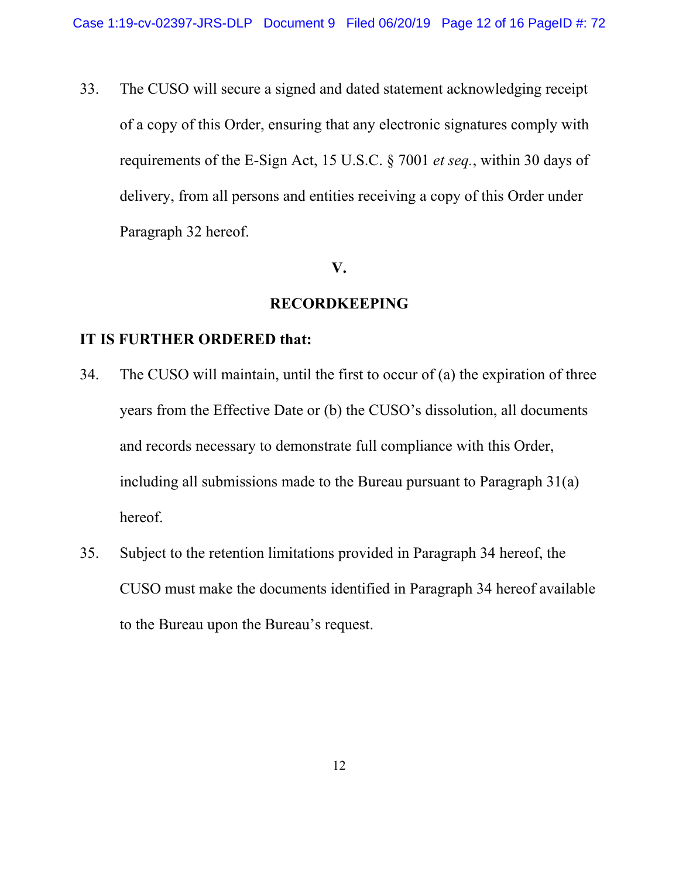33. The CUSO will secure a signed and dated statement acknowledging receipt of a copy of this Order, ensuring that any electronic signatures comply with requirements of the E-Sign Act, 15 U.S.C. § 7001 *et seq.*, within 30 days of delivery, from all persons and entities receiving a copy of this Order under Paragraph 32 hereof.

#### **V.**

#### **RECORDKEEPING**

# **IT IS FURTHER ORDERED that:**

- 34. The CUSO will maintain, until the first to occur of (a) the expiration of three years from the Effective Date or (b) the CUSO's dissolution, all documents and records necessary to demonstrate full compliance with this Order, including all submissions made to the Bureau pursuant to Paragraph 31(a) hereof.
- 35. Subject to the retention limitations provided in Paragraph 34 hereof, the CUSO must make the documents identified in Paragraph 34 hereof available to the Bureau upon the Bureau's request.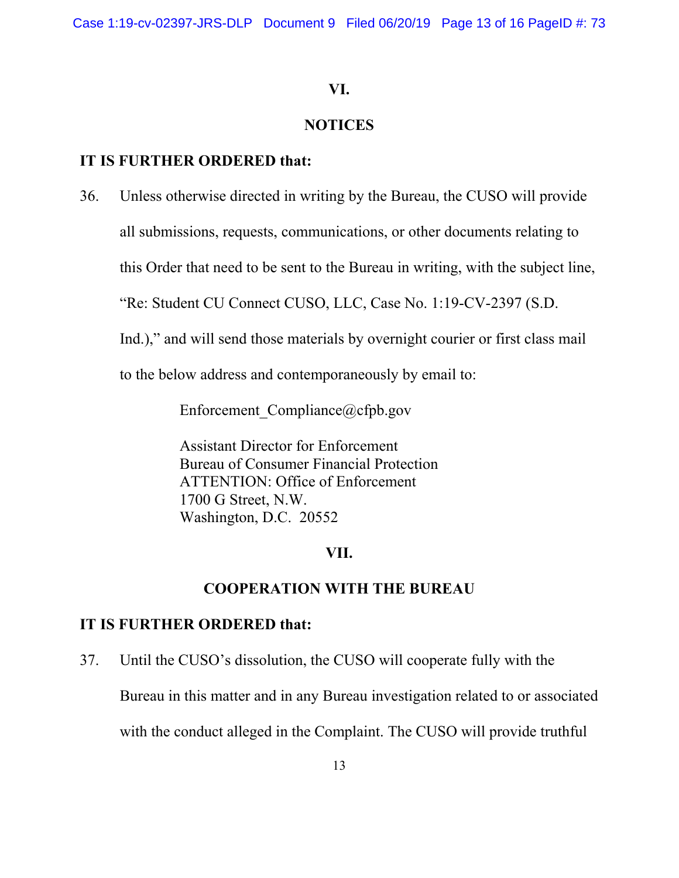Case 1:19-cv-02397-JRS-DLP Document 9 Filed 06/20/19 Page 13 of 16 PageID #: 73

## **VI.**

## **NOTICES**

# **IT IS FURTHER ORDERED that:**

36. Unless otherwise directed in writing by the Bureau, the CUSO will provide

all submissions, requests, communications, or other documents relating to

this Order that need to be sent to the Bureau in writing, with the subject line,

"Re: Student CU Connect CUSO, LLC, Case No. 1:19-CV-2397 (S.D.

Ind.)," and will send those materials by overnight courier or first class mail

to the below address and contemporaneously by email to:

Enforcement Compliance@cfpb.gov

Assistant Director for Enforcement Bureau of Consumer Financial Protection ATTENTION: Office of Enforcement 1700 G Street, N.W. Washington, D.C. 20552

## **VII.**

## **COOPERATION WITH THE BUREAU**

#### **IT IS FURTHER ORDERED that:**

37. Until the CUSO's dissolution, the CUSO will cooperate fully with the

Bureau in this matter and in any Bureau investigation related to or associated

with the conduct alleged in the Complaint. The CUSO will provide truthful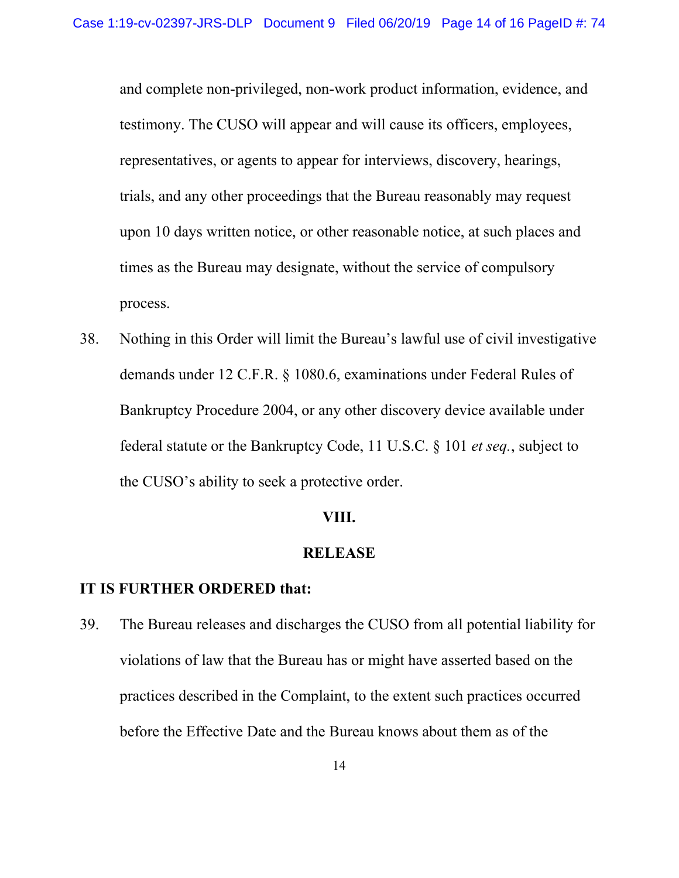and complete non-privileged, non-work product information, evidence, and testimony. The CUSO will appear and will cause its officers, employees, representatives, or agents to appear for interviews, discovery, hearings, trials, and any other proceedings that the Bureau reasonably may request upon 10 days written notice, or other reasonable notice, at such places and times as the Bureau may designate, without the service of compulsory process.

38. Nothing in this Order will limit the Bureau's lawful use of civil investigative demands under 12 C.F.R. § 1080.6, examinations under Federal Rules of Bankruptcy Procedure 2004, or any other discovery device available under federal statute or the Bankruptcy Code, 11 U.S.C. § 101 *et seq.*, subject to the CUSO's ability to seek a protective order.

#### **VIII.**

#### **RELEASE**

#### **IT IS FURTHER ORDERED that:**

39. The Bureau releases and discharges the CUSO from all potential liability for violations of law that the Bureau has or might have asserted based on the practices described in the Complaint, to the extent such practices occurred before the Effective Date and the Bureau knows about them as of the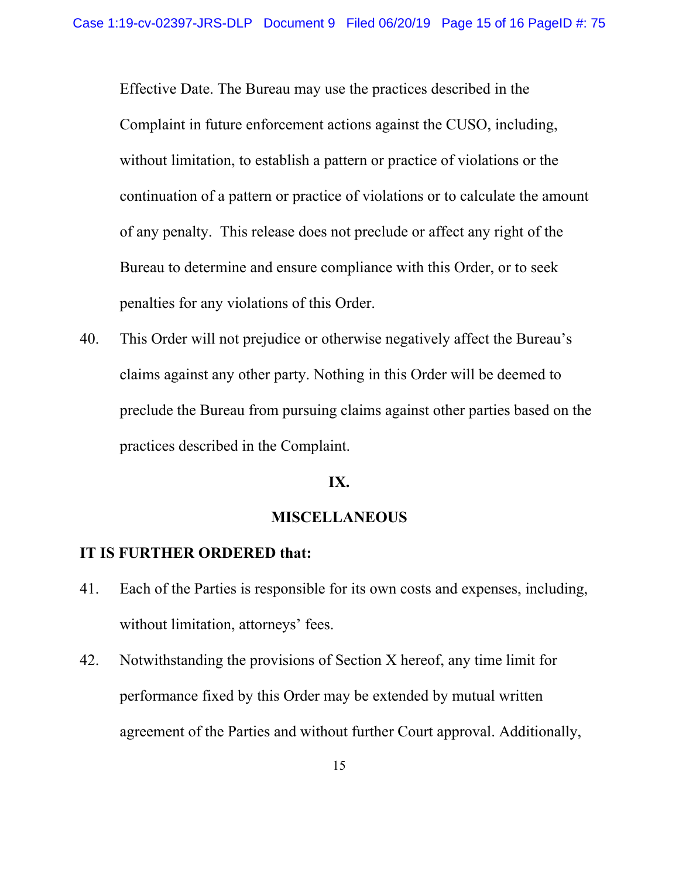Effective Date. The Bureau may use the practices described in the Complaint in future enforcement actions against the CUSO, including, without limitation, to establish a pattern or practice of violations or the continuation of a pattern or practice of violations or to calculate the amount of any penalty. This release does not preclude or affect any right of the Bureau to determine and ensure compliance with this Order, or to seek penalties for any violations of this Order.

40. This Order will not prejudice or otherwise negatively affect the Bureau's claims against any other party. Nothing in this Order will be deemed to preclude the Bureau from pursuing claims against other parties based on the practices described in the Complaint.

#### **IX.**

#### **MISCELLANEOUS**

#### **IT IS FURTHER ORDERED that:**

- 41. Each of the Parties is responsible for its own costs and expenses, including, without limitation, attorneys' fees.
- 42. Notwithstanding the provisions of Section X hereof, any time limit for performance fixed by this Order may be extended by mutual written agreement of the Parties and without further Court approval. Additionally,